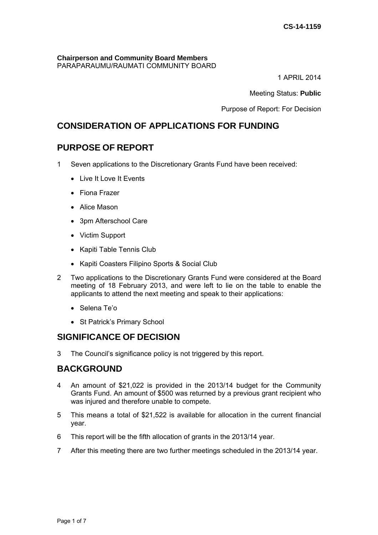#### **Chairperson and Community Board Members**  PARAPARAUMU/RAUMATI COMMUNITY BOARD

1 APRIL 2014

Meeting Status: **Public**

Purpose of Report: For Decision

# **CONSIDERATION OF APPLICATIONS FOR FUNDING**

## **PURPOSE OF REPORT**

- 1 Seven applications to the Discretionary Grants Fund have been received:
	- Live It Love It Events
	- Fiona Frazer
	- Alice Mason
	- 3pm Afterschool Care
	- Victim Support
	- Kapiti Table Tennis Club
	- Kapiti Coasters Filipino Sports & Social Club
- 2 Two applications to the Discretionary Grants Fund were considered at the Board meeting of 18 February 2013, and were left to lie on the table to enable the applicants to attend the next meeting and speak to their applications:
	- Selena Te'o
	- St Patrick's Primary School

# **SIGNIFICANCE OF DECISION**

3 The Council's significance policy is not triggered by this report.

## **BACKGROUND**

- 4 An amount of \$21,022 is provided in the 2013/14 budget for the Community Grants Fund. An amount of \$500 was returned by a previous grant recipient who was injured and therefore unable to compete.
- 5 This means a total of \$21,522 is available for allocation in the current financial year.
- 6 This report will be the fifth allocation of grants in the 2013/14 year.
- 7 After this meeting there are two further meetings scheduled in the 2013/14 year.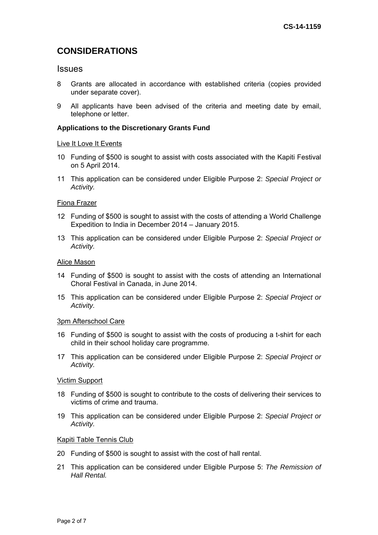# **CONSIDERATIONS**

## **Issues**

- 8 Grants are allocated in accordance with established criteria (copies provided under separate cover).
- 9 All applicants have been advised of the criteria and meeting date by email, telephone or letter.

### **Applications to the Discretionary Grants Fund**

#### Live It Love It Events

- 10 Funding of \$500 is sought to assist with costs associated with the Kapiti Festival on 5 April 2014.
- 11 This application can be considered under Eligible Purpose 2: *Special Project or Activity.*

### Fiona Frazer

- 12 Funding of \$500 is sought to assist with the costs of attending a World Challenge Expedition to India in December 2014 – January 2015.
- 13 This application can be considered under Eligible Purpose 2: *Special Project or Activity.*

#### Alice Mason

- 14 Funding of \$500 is sought to assist with the costs of attending an International Choral Festival in Canada, in June 2014.
- 15 This application can be considered under Eligible Purpose 2: *Special Project or Activity.*

#### 3pm Afterschool Care

- 16 Funding of \$500 is sought to assist with the costs of producing a t-shirt for each child in their school holiday care programme.
- 17 This application can be considered under Eligible Purpose 2: *Special Project or Activity.*

#### Victim Support

- 18 Funding of \$500 is sought to contribute to the costs of delivering their services to victims of crime and trauma.
- 19 This application can be considered under Eligible Purpose 2: *Special Project or Activity.*

#### Kapiti Table Tennis Club

- 20 Funding of \$500 is sought to assist with the cost of hall rental.
- 21 This application can be considered under Eligible Purpose 5: *The Remission of Hall Rental.*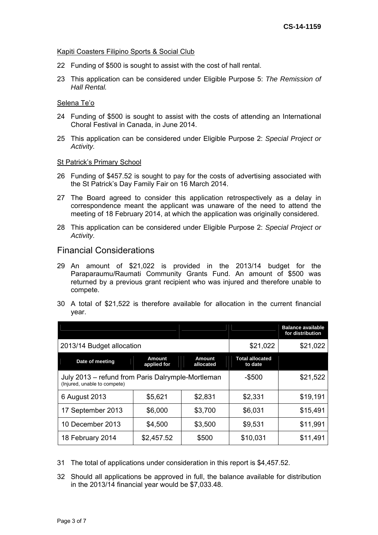### Kapiti Coasters Filipino Sports & Social Club

- 22 Funding of \$500 is sought to assist with the cost of hall rental.
- 23 This application can be considered under Eligible Purpose 5: *The Remission of Hall Rental.*

### Selena Te'o

- 24 Funding of \$500 is sought to assist with the costs of attending an International Choral Festival in Canada, in June 2014.
- 25 This application can be considered under Eligible Purpose 2: *Special Project or Activity.*

### St Patrick's Primary School

- 26 Funding of \$457.52 is sought to pay for the costs of advertising associated with the St Patrick's Day Family Fair on 16 March 2014.
- 27 The Board agreed to consider this application retrospectively as a delay in correspondence meant the applicant was unaware of the need to attend the meeting of 18 February 2014, at which the application was originally considered.
- 28 This application can be considered under Eligible Purpose 2: *Special Project or Activity.*

## Financial Considerations

- 29 An amount of \$21,022 is provided in the 2013/14 budget for the Paraparaumu/Raumati Community Grants Fund. An amount of \$500 was returned by a previous grant recipient who was injured and therefore unable to compete.
- 30 A total of \$21,522 is therefore available for allocation in the current financial year.

|                                                                                   |                              |                            |                                   | <b>Balance available</b><br>for distribution |
|-----------------------------------------------------------------------------------|------------------------------|----------------------------|-----------------------------------|----------------------------------------------|
| 2013/14 Budget allocation                                                         | \$21,022                     | \$21,022                   |                                   |                                              |
| Date of meeting                                                                   | <b>Amount</b><br>applied for | <b>Amount</b><br>allocated | <b>Total allocated</b><br>to date |                                              |
| July 2013 – refund from Paris Dalrymple-Mortleman<br>(Injured, unable to compete) | $-$ \$500                    | \$21,522                   |                                   |                                              |
| 6 August 2013                                                                     | \$5,621                      | \$2,831                    | \$2,331                           | \$19,191                                     |
| 17 September 2013                                                                 | \$6,000                      | \$3,700                    | \$6,031                           | \$15,491                                     |
| 10 December 2013                                                                  | \$4,500                      | \$3,500                    | \$9,531                           | \$11,991                                     |
| 18 February 2014                                                                  | \$2,457.52                   | \$500                      | \$10,031                          | \$11,491                                     |

- 31 The total of applications under consideration in this report is \$4,457.52.
- 32 Should all applications be approved in full, the balance available for distribution in the 2013/14 financial year would be \$7,033.48.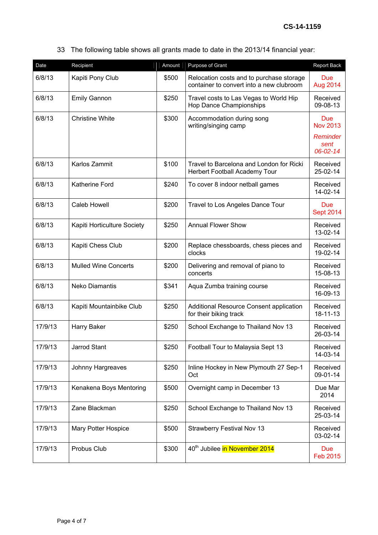33 The following table shows all grants made to date in the 2013/14 financial year:

| Date    | Recipient                   | Amount | Purpose of Grant                                                                     | Report Back                               |
|---------|-----------------------------|--------|--------------------------------------------------------------------------------------|-------------------------------------------|
| 6/8/13  | Kapiti Pony Club            | \$500  | Relocation costs and to purchase storage<br>container to convert into a new clubroom | <b>Due</b><br>Aug 2014                    |
| 6/8/13  | <b>Emily Gannon</b>         | \$250  | Travel costs to Las Vegas to World Hip<br>Hop Dance Championships                    | Received<br>09-08-13                      |
| 6/8/13  | <b>Christine White</b>      | \$300  | Accommodation during song<br>writing/singing camp                                    | <b>Due</b><br><b>Nov 2013</b><br>Reminder |
|         |                             |        |                                                                                      | sent<br>06-02-14                          |
| 6/8/13  | Karlos Zammit               | \$100  | Travel to Barcelona and London for Ricki<br>Herbert Football Academy Tour            | Received<br>25-02-14                      |
| 6/8/13  | Katherine Ford              | \$240  | To cover 8 indoor netball games                                                      | Received<br>14-02-14                      |
| 6/8/13  | <b>Caleb Howell</b>         | \$200  | Travel to Los Angeles Dance Tour                                                     | <b>Due</b><br><b>Sept 2014</b>            |
| 6/8/13  | Kapiti Horticulture Society | \$250  | <b>Annual Flower Show</b>                                                            | Received<br>13-02-14                      |
| 6/8/13  | Kapiti Chess Club           | \$200  | Replace chessboards, chess pieces and<br>clocks                                      | Received<br>19-02-14                      |
| 6/8/13  | <b>Mulled Wine Concerts</b> | \$200  | Delivering and removal of piano to<br>concerts                                       | Received<br>15-08-13                      |
| 6/8/13  | <b>Neko Diamantis</b>       | \$341  | Aqua Zumba training course                                                           | Received<br>16-09-13                      |
| 6/8/13  | Kapiti Mountainbike Club    | \$250  | Additional Resource Consent application<br>for their biking track                    | Received<br>18-11-13                      |
| 17/9/13 | Harry Baker                 | \$250  | School Exchange to Thailand Nov 13                                                   | Received<br>26-03-14                      |
| 17/9/13 | <b>Jarrod Stant</b>         | \$250  | Football Tour to Malaysia Sept 13                                                    | Received<br>14-03-14                      |
| 17/9/13 | Johnny Hargreaves           | \$250  | Inline Hockey in New Plymouth 27 Sep-1<br>Oct                                        | Received<br>09-01-14                      |
| 17/9/13 | Kenakena Boys Mentoring     | \$500  | Overnight camp in December 13                                                        | Due Mar<br>2014                           |
| 17/9/13 | Zane Blackman               | \$250  | School Exchange to Thailand Nov 13                                                   | Received<br>25-03-14                      |
| 17/9/13 | Mary Potter Hospice         | \$500  | <b>Strawberry Festival Nov 13</b>                                                    | Received<br>03-02-14                      |
| 17/9/13 | Probus Club                 | \$300  | 40 <sup>th</sup> Jubilee in November 2014                                            | <b>Due</b><br>Feb 2015                    |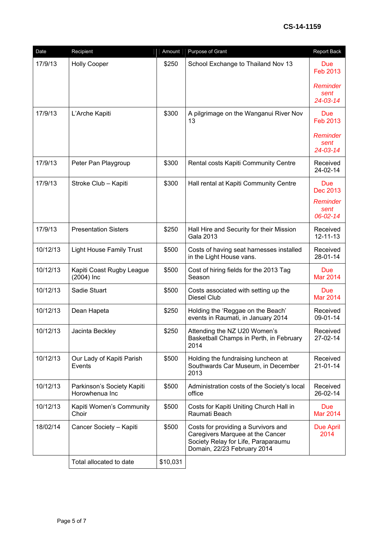| Date     | Recipient                                    | Amount   | Purpose of Grant                                                                                                                              | <b>Report Back</b>                              |
|----------|----------------------------------------------|----------|-----------------------------------------------------------------------------------------------------------------------------------------------|-------------------------------------------------|
| 17/9/13  | <b>Holly Cooper</b>                          | \$250    | School Exchange to Thailand Nov 13                                                                                                            | <b>Due</b><br>Feb 2013                          |
|          |                                              |          |                                                                                                                                               | Reminder<br>sent<br>24-03-14                    |
| 17/9/13  | L'Arche Kapiti                               | \$300    | A pilgrimage on the Wanganui River Nov<br>13                                                                                                  | Due<br><b>Feb 2013</b>                          |
|          |                                              |          |                                                                                                                                               | Reminder<br>sent<br>24-03-14                    |
| 17/9/13  | Peter Pan Playgroup                          | \$300    | Rental costs Kapiti Community Centre                                                                                                          | Received<br>24-02-14                            |
| 17/9/13  | Stroke Club - Kapiti                         | \$300    | Hall rental at Kapiti Community Centre                                                                                                        | Due<br>Dec 2013<br>Reminder<br>sent<br>06-02-14 |
| 17/9/13  | <b>Presentation Sisters</b>                  | \$250    | Hall Hire and Security for their Mission<br>Gala 2013                                                                                         | Received<br>$12 - 11 - 13$                      |
| 10/12/13 | <b>Light House Family Trust</b>              | \$500    | Costs of having seat harnesses installed<br>in the Light House vans.                                                                          | Received<br>28-01-14                            |
| 10/12/13 | Kapiti Coast Rugby League<br>$(2004)$ Inc    | \$500    | Cost of hiring fields for the 2013 Tag<br>Season                                                                                              | <b>Due</b><br><b>Mar 2014</b>                   |
| 10/12/13 | Sadie Stuart                                 | \$500    | Costs associated with setting up the<br>Diesel Club                                                                                           | Due<br><b>Mar 2014</b>                          |
| 10/12/13 | Dean Hapeta                                  | \$250    | Holding the 'Reggae on the Beach'<br>events in Raumati, in January 2014                                                                       | Received<br>09-01-14                            |
| 10/12/13 | Jacinta Beckley                              | \$250    | Attending the NZ U20 Women's<br>Basketball Champs in Perth, in February<br>2014                                                               | Received<br>27-02-14                            |
| 10/12/13 | Our Lady of Kapiti Parish<br>Events          | \$500    | Holding the fundraising luncheon at<br>Southwards Car Museum, in December<br>2013                                                             | Received<br>$21 - 01 - 14$                      |
| 10/12/13 | Parkinson's Society Kapiti<br>Horowhenua Inc | \$500    | Administration costs of the Society's local<br>office                                                                                         | Received<br>26-02-14                            |
| 10/12/13 | Kapiti Women's Community<br>Choir            | \$500    | Costs for Kapiti Uniting Church Hall in<br>Raumati Beach                                                                                      | <b>Due</b><br><b>Mar 2014</b>                   |
| 18/02/14 | Cancer Society - Kapiti                      | \$500    | Costs for providing a Survivors and<br>Caregivers Marquee at the Cancer<br>Society Relay for Life, Paraparaumu<br>Domain, 22/23 February 2014 | <b>Due April</b><br>2014                        |
|          | Total allocated to date                      | \$10,031 |                                                                                                                                               |                                                 |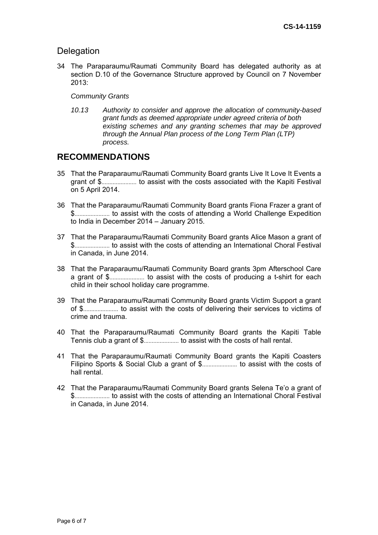## **Delegation**

34 The Paraparaumu/Raumati Community Board has delegated authority as at section D.10 of the Governance Structure approved by Council on 7 November 2013:

## *Community Grants*

*10.13 Authority to consider and approve the allocation of community-based grant funds as deemed appropriate under agreed criteria of both existing schemes and any granting schemes that may be approved through the Annual Plan process of the Long Term Plan (LTP) process.* 

## **RECOMMENDATIONS**

- 35 That the Paraparaumu/Raumati Community Board grants Live It Love It Events a grant of \$...................... to assist with the costs associated with the Kapiti Festival on 5 April 2014.
- 36 That the Paraparaumu/Raumati Community Board grants Fiona Frazer a grant of \$...................... to assist with the costs of attending a World Challenge Expedition to India in December 2014 – January 2015.
- 37 That the Paraparaumu/Raumati Community Board grants Alice Mason a grant of \$...................... to assist with the costs of attending an International Choral Festival in Canada, in June 2014.
- 38 That the Paraparaumu/Raumati Community Board grants 3pm Afterschool Care a grant of \$...................... to assist with the costs of producing a t-shirt for each child in their school holiday care programme.
- 39 That the Paraparaumu/Raumati Community Board grants Victim Support a grant of \$...................... to assist with the costs of delivering their services to victims of crime and trauma.
- 40 That the Paraparaumu/Raumati Community Board grants the Kapiti Table Tennis club a grant of \$...................... to assist with the costs of hall rental.
- 41 That the Paraparaumu/Raumati Community Board grants the Kapiti Coasters Filipino Sports & Social Club a grant of \$...................... to assist with the costs of hall rental.
- 42 That the Paraparaumu/Raumati Community Board grants Selena Te'o a grant of \$...................... to assist with the costs of attending an International Choral Festival in Canada, in June 2014.